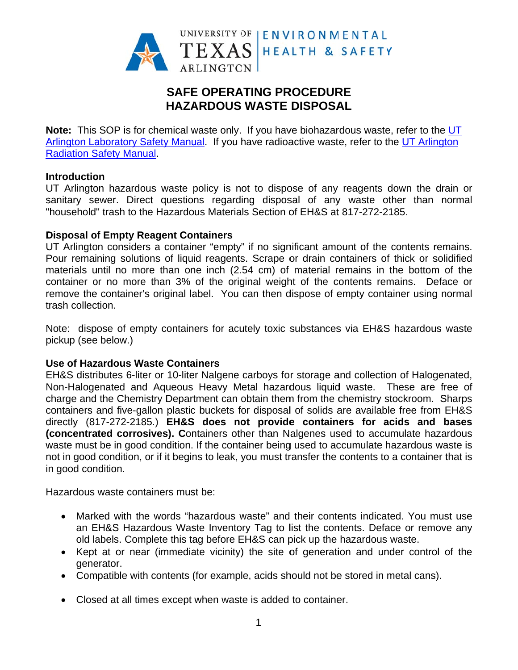

# **SAFE OPERATING PROCEDURE HAZARDOUS WASTE DISPOSAL**

Note: This SOP is for chemical waste only. If you have biohazardous waste, refer to the UT Arlington Laboratory Safety Manual. If you have radioactive waste, refer to the UT Arlington **Radiation Safety Manual.** 

#### **Introduction**

UT Arlington hazardous waste policy is not to dispose of any reagents down the drain or sanitary sewer. Direct questions regarding disposal of any waste other than normal "household" trash to the Hazardous Materials Section of EH&S at 817-272-2185.

## **Disposal of Empty Reagent Containers**

UT Arlington considers a container "empty" if no significant amount of the contents remains. Pour remaining solutions of liquid reagents. Scrape or drain containers of thick or solidified materials until no more than one inch (2.54 cm) of material remains in the bottom of the container or no more than 3% of the original weight of the contents remains. Deface or remove the container's original label. You can then dispose of empty container using normal trash collection.

Note: dispose of empty containers for acutely toxic substances via EH&S hazardous waste pickup (see below.)

#### **Use of Hazardous Waste Containers**

EH&S distributes 6-liter or 10-liter Nalgene carboys for storage and collection of Halogenated, Non-Halogenated and Aqueous Heavy Metal hazardous liquid waste. These are free of charge and the Chemistry Department can obtain them from the chemistry stockroom. Sharps containers and five-gallon plastic buckets for disposal of solids are available free from EH&S directly (817-272-2185.) EH&S does not provide containers for acids and bases (concentrated corrosives). Containers other than Nalgenes used to accumulate hazardous waste must be in good condition. If the container being used to accumulate hazardous waste is not in good condition, or if it begins to leak, you must transfer the contents to a container that is in good condition.

Hazardous waste containers must be:

- Marked with the words "hazardous waste" and their contents indicated. You must use an EH&S Hazardous Waste Inventory Tag to list the contents. Deface or remove any old labels. Complete this tag before EH&S can pick up the hazardous waste.
- Kept at or near (immediate vicinity) the site of generation and under control of the generator.
- Compatible with contents (for example, acids should not be stored in metal cans).
- Closed at all times except when waste is added to container.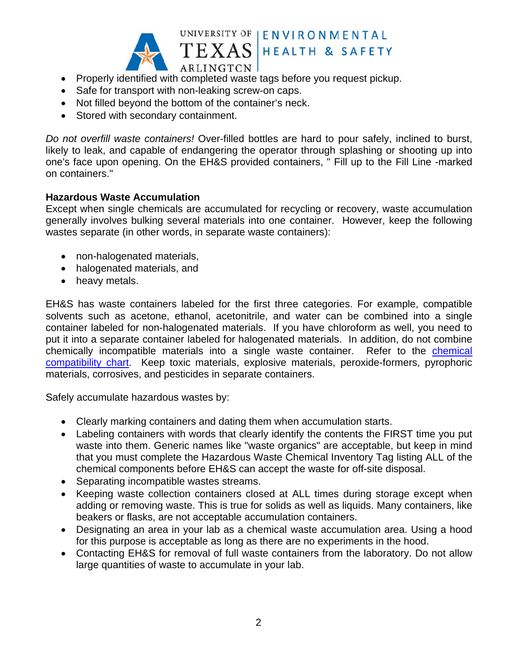

ARLINGTON • Properly identified with completed waste tags before you request pickup.

- Safe for transport with non-leaking screw-on caps.
- Not filled beyond the bottom of the container's neck.
- Stored with secondary containment.

Do not overfill waste containers! Over-filled bottles are hard to pour safely, inclined to burst, likely to leak, and capable of endangering the operator through splashing or shooting up into one's face upon opening. On the EH&S provided containers, " Fill up to the Fill Line -marked on containers."

UNIVERSITY OF | ENVIRONMENTAL

**HEALTH & SAFETY** 

#### **Hazardous Waste Accumulation**

Except when single chemicals are accumulated for recycling or recovery, waste accumulation generally involves bulking several materials into one container. However, keep the following wastes separate (in other words, in separate waste containers):

- non-halogenated materials,
- halogenated materials, and
- heavy metals.

EH&S has waste containers labeled for the first three categories. For example, compatible solvents such as acetone, ethanol, acetonitrile, and water can be combined into a single container labeled for non-halogenated materials. If you have chloroform as well, you need to put it into a separate container labeled for halogenated materials. In addition, do not combine chemically incompatible materials into a single waste container. Refer to the chemical compatibility chart. Keep toxic materials, explosive materials, peroxide-formers, pyrophoric materials, corrosives, and pesticides in separate containers.

Safely accumulate hazardous wastes by:

- Clearly marking containers and dating them when accumulation starts.
- Labeling containers with words that clearly identify the contents the FIRST time you put waste into them. Generic names like "waste organics" are acceptable, but keep in mind that you must complete the Hazardous Waste Chemical Inventory Tag listing ALL of the chemical components before EH&S can accept the waste for off-site disposal.
- Separating incompatible wastes streams.
- Keeping waste collection containers closed at ALL times during storage except when adding or removing waste. This is true for solids as well as liquids. Many containers, like beakers or flasks, are not acceptable accumulation containers.
- Designating an area in your lab as a chemical waste accumulation area. Using a hood for this purpose is acceptable as long as there are no experiments in the hood.
- Contacting EH&S for removal of full waste containers from the laboratory. Do not allow large quantities of waste to accumulate in your lab.